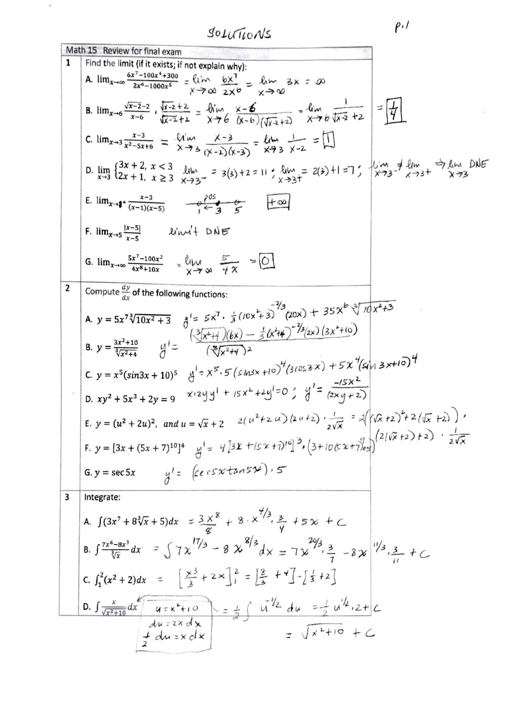SOLUTIONS

 $\gamma$ 

 $P·1$ 

|                | Math 15 Review for final exam                                                                                                                                                                                                                                               |
|----------------|-----------------------------------------------------------------------------------------------------------------------------------------------------------------------------------------------------------------------------------------------------------------------------|
| 1              | Find the limit (if it exists; if not explain why):                                                                                                                                                                                                                          |
|                | A. $\lim_{x\to\infty} \frac{6x^7 - 100x^4 + 300}{2x^6 - 1000x^5} = \frac{\ell_{1}^{2}m}{x^2 - 200} = \frac{\ell_{2}^{2}m}{x^2 - 200} = \frac{\ell_{1}^{2}m}{x^2 - 200} = \frac{3x}{x} = 0$                                                                                  |
|                | B. $\lim_{x\to 6} \frac{\sqrt{x-2}-2}{x-6}$ $\lim_{\sqrt{x-2}+2} = \lim_{x\to 6} \frac{x-6}{(x-6)(\sqrt{x+2})} = \lim_{x\to 6} \frac{1}{\sqrt{x-2}+2} = \frac{1}{4}$                                                                                                        |
|                | C. $\lim_{x\to 3} \frac{x-3}{x^2-5x+6} = \frac{\sqrt{10x}}{x+3} \frac{x-3}{(x-2)(x-3)} = \frac{\ln x}{x+3} \frac{1}{x-2} = \boxed{1}$                                                                                                                                       |
|                | D. $\lim_{x\to 3} \left\{ \frac{3x+2}{2x+1}, \frac{x}{3} \geq 3 \right\}$ $\lim_{x\to 3^-}$ = 3(3) +2 = 11; $\lim_{x\to 3^+}$ $z(3)$ +1 =7; $\lim_{x\to 3^-}$ $\lim_{x\to 3^+}$ $\frac{1}{3}$ $\lim_{x\to 3^+}$ $\frac{1}{3}$ $\lim_{x\to 3}$ $\frac{1}{3}$ $\lim_{x\to 3}$ |
|                | E. $\lim_{x\to 1^+} \frac{x-3}{(x-1)(x-5)}$ $\qquad \frac{e^{95}}{6-3} \xrightarrow{0}$ $\boxed{+\infty}$                                                                                                                                                                   |
|                | F. $\lim_{x\to 5} \frac{ x-5 }{x-5}$ linn't DNE                                                                                                                                                                                                                             |
|                | G. $\lim_{x\to\infty} \frac{5x^7 - 100x^2}{4x^8 + 10x}$ = $\lim_{x\to\infty} \frac{5}{x}$ = $\boxed{0}$                                                                                                                                                                     |
| $\overline{2}$ | Compute $\frac{dy}{dx}$ of the following functions:                                                                                                                                                                                                                         |
|                | A. $y = 5x^7\sqrt[3]{10x^2 + 3}$ $\int_0^1 = 5x^7 \cdot \frac{1}{3}(10x^2 + 3)^{-2/3}(20x) + 35x^6 \sqrt[3]{10x^2 + 3}$                                                                                                                                                     |
|                | B. $y = \frac{3x^2 + 10}{\sqrt[3]{x^2 + 4}}$ $y' = \frac{(\sqrt[3]{x^2 + 4})(6x) - \frac{1}{5}(x^2 + 4)^{-\frac{7}{3}}(2x)(3x^2 + 10)}{(\sqrt[3]{x^2 + 4})^2}$                                                                                                              |
|                | C. $y = x^5(sin3x + 10)^5$ $y^1 = x^5.5(sin3x + 10)^4(3cos3x) + 5x^4(sin3x + 10)^4$                                                                                                                                                                                         |
|                | D. $xy^2 + 5x^3 + 2y = 9$ $x \cdot 2y y^1 + 15x^2 + 2y^1 = 0$ ; $y'^2 = \frac{-15x^2}{(2x + 15x^2 + 15x^2 + 15x^2 + 15x^2 + 15x^2 + 15x^2 + 15x^2 + 15x^2 + 15x^2 + 15x^2 + 15x^2 + 15x^2 + 15x^2 + 15x^2 + 15x^2 + 15x^2 + 15x^2 + 15x^2 + 15x^2 + 15x^2 + 15x^2 + 15x^$   |
|                | E. $y = (u^2 + 2u)^2$ , and $u = \sqrt{x} + 2$ $2(u^2 + 2u)(2u+2) \cdot \frac{1}{2\sqrt{x}} = 2((\sqrt{x} + 2)^2 + 2(\sqrt{x} + 2))$                                                                                                                                        |
|                | F. $y = [3x + (5x + 7)^{10}]^4$ $y' = 4[3x + (5x + 7)^{10}]^3 \cdot (3 + 10(5x + 7)^{10})^3 \cdot (2(\sqrt{x} + 2) + 2) \cdot \frac{1}{2\sqrt{x}}$                                                                                                                          |
|                | G.y = sec5x $g' = \begin{cases} \epsilon e & \text{if } x \neq 0 \\ \end{cases}$ , 5                                                                                                                                                                                        |
| 3              | Integrate:                                                                                                                                                                                                                                                                  |
|                | A. $\int (3x^7 + 8\sqrt[3]{x} + 5)dx = \frac{3x^8}{8} + 8 \cdot x^{7/3} + 5x + C$                                                                                                                                                                                           |
|                | B. $\int \frac{7x^6-8x^3}{\sqrt[3]{x}} dx = \int 7x^{17/3} - 8x^{8/3} dx = 7x^{20/3} - 8x^{11/3} - 8x - 16x + C$                                                                                                                                                            |
|                | c. $\int_1^2 (x^2 + 2) dx = \left[ \frac{x^3}{3} + 2 \times \right]_1^2 = \left[ \frac{3}{2} + 4 \right] - \left[ \frac{1}{2} + 2 \right]$                                                                                                                                  |
|                | D. $\int \frac{x}{\sqrt{x^2+10}} dx$ $\int \frac{u \cdot x^2 + 10}{u^2 + 2x} dx = \frac{1}{2} \int \frac{u^{1/2} du}{u^{1/2} + 2x} du$                                                                                                                                      |
|                | $=\sqrt{x^2+i\circ} + C$<br>$\frac{1}{2}$ du = x d x                                                                                                                                                                                                                        |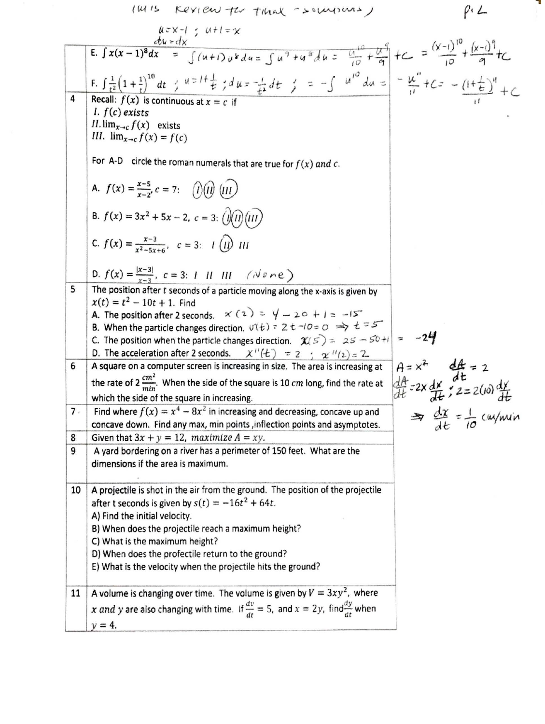(MIS Kerien to that -sourons)

 $P^{\prime}$ 

n,

|       | $u=x-1$ ; $u+t=x$                                                                                                                                                                                                                                                                       |                                                                 |
|-------|-----------------------------------------------------------------------------------------------------------------------------------------------------------------------------------------------------------------------------------------------------------------------------------------|-----------------------------------------------------------------|
|       | E. $\int x(x-1)^8 dx = \int (u+1)u^8 du = \int u^9 + u^8 du = \frac{u^10}{10} + \frac{u^9}{9} + C = \frac{(x-1)^{10}}{10} + \frac{(x-1)^9}{9} + C$                                                                                                                                      |                                                                 |
| 4     | F. $\int \frac{1}{t^2} (1 + \frac{1}{t})^{10} dt$ ; $u = l + \frac{1}{t}$ ; $du = \frac{l}{t^2} dt$ ; $= -\int u^{10} du = -\frac{u''}{l} + C = -\frac{l + \frac{1}{t^2}}{l} + C$<br>Recall: $f(x)$ is continuous at $x = c$ if<br>1. f(c) exists<br>$II$ . $\lim_{x\to c} f(x)$ exists |                                                                 |
|       | III. $\lim_{x\to c} f(x) = f(c)$                                                                                                                                                                                                                                                        |                                                                 |
|       | For A-D circle the roman numerals that are true for $f(x)$ and c.                                                                                                                                                                                                                       |                                                                 |
|       | A. $f(x) = \frac{x-5}{x-2}$ , $c = 7$ : (1)(1) (111)                                                                                                                                                                                                                                    |                                                                 |
|       | <b>B.</b> $f(x) = 3x^2 + 5x - 2$ , $c = 3$ : $\left(\frac{\partial}{\partial n}\right)(\overline{u})$                                                                                                                                                                                   |                                                                 |
|       | <b>C.</b> $f(x) = \frac{x-3}{x^2-5x+6}$ , $c = 3$ : $I(\iota) \iota \iota$                                                                                                                                                                                                              |                                                                 |
|       | <b>D.</b> $f(x) = \frac{ x-3 }{x-2}$ , $c = 3$ : 1 II III (None)                                                                                                                                                                                                                        |                                                                 |
| 5     | The position after t seconds of a particle moving along the x-axis is given by<br>$x(t) = t^2 - 10t + 1$ . Find                                                                                                                                                                         |                                                                 |
|       | A. The position after 2 seconds. $\angle x (z) = \sqrt{1 - 20 + 1} = -15$                                                                                                                                                                                                               |                                                                 |
|       | B. When the particle changes direction. $U(t)$ = 2 t -10 = 0 $\Rightarrow$ t = 5                                                                                                                                                                                                        |                                                                 |
|       | C. The position when the particle changes direction. $\chi(s) = 2s - 50 + 1 = -24$<br>D. The acceleration after 2 seconds. $\chi''(t) = 2 \div \chi''(2) = 2$ .                                                                                                                         |                                                                 |
| 6     | A square on a computer screen is increasing in size. The area is increasing at                                                                                                                                                                                                          |                                                                 |
|       | the rate of $2 \frac{cm^2}{mln}$ . When the side of the square is 10 cm long, find the rate at                                                                                                                                                                                          | $A = x^2$ $dA = 2$<br>$dA = 2x dx$ , $dE = 2$<br>$dE = 2(a) dx$ |
|       | which the side of the square in increasing.                                                                                                                                                                                                                                             |                                                                 |
| $7 -$ | Find where $f(x) = x^4 - 8x^2$ in increasing and decreasing, concave up and                                                                                                                                                                                                             | $\Rightarrow$ $\frac{dx}{dt} = \frac{1}{10}$ cu/min             |
|       | concave down. Find any max, min points, inflection points and asymptotes.                                                                                                                                                                                                               |                                                                 |
| 8     | Given that $3x + y = 12$ , maximize $A = xy$ .                                                                                                                                                                                                                                          |                                                                 |
| 9     | A yard bordering on a river has a perimeter of 150 feet. What are the<br>dimensions if the area is maximum.                                                                                                                                                                             |                                                                 |
|       |                                                                                                                                                                                                                                                                                         |                                                                 |
| 10    | A projectile is shot in the air from the ground. The position of the projectile                                                                                                                                                                                                         |                                                                 |
|       | after t seconds is given by $s(t) = -16t^2 + 64t$ .                                                                                                                                                                                                                                     |                                                                 |
|       | A) Find the initial velocity.                                                                                                                                                                                                                                                           |                                                                 |
|       | B) When does the projectile reach a maximum height?                                                                                                                                                                                                                                     |                                                                 |
|       | C) What is the maximum height?                                                                                                                                                                                                                                                          |                                                                 |
|       | D) When does the profectile return to the ground?                                                                                                                                                                                                                                       |                                                                 |
|       | E) What is the velocity when the projectile hits the ground?                                                                                                                                                                                                                            |                                                                 |
| 11    | A volume is changing over time. The volume is given by $V = 3xy^2$ , where                                                                                                                                                                                                              |                                                                 |
|       | x and y are also changing with time. If $\frac{dv}{dt} = 5$ , and $x = 2y$ , find $\frac{dy}{dt}$ when                                                                                                                                                                                  |                                                                 |
|       | $y = 4$ .                                                                                                                                                                                                                                                                               |                                                                 |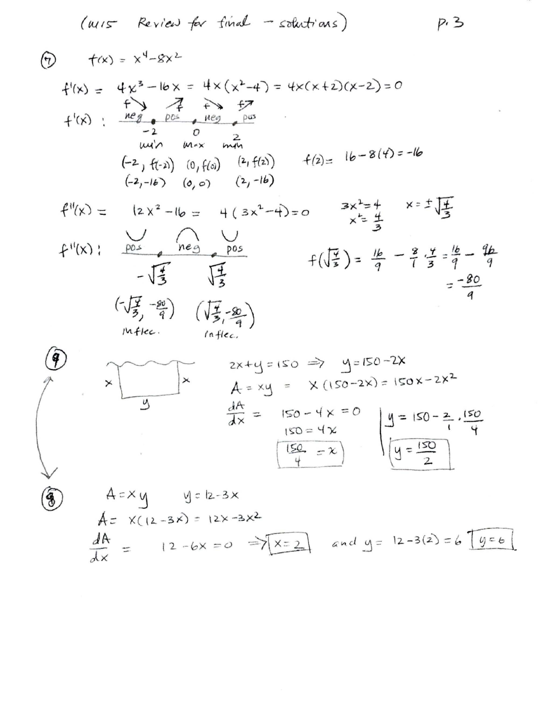$$
(u/s - Review + for final - solution)
$$
  $p$ .

$$
\begin{array}{lll}\n\textcircled{1} & f(x) = x^4 - 8x^2 \\
\text{f'(x)} = & 4x^3 - 16x = 4 \times (x^2 - 4) = 4 \times (x + 2)(x - 2) = 0 \\
& \text{if } x \neq 7 \\
\text{f'(x)} & \text{if } x = 20 \\
\text{with } x = x \text{ and } x = 16 \\
\text{with } x = x \text{ and } x = 16 \\
\text{with } x = x \text{ and } x = 16 \\
\text{with } x = x \text{ and } x = 16 \\
\text{if } x = 16 \\
\text{if } x = 20 \\
\text{if } x = 3\n\end{array}
$$
\n
$$
\begin{array}{lll}\n\text{f''(x)} & = & 12x^2 - 16 = 4(3x^2 - 4) = 0 \\
\text{if } x = 3\n\end{array}
$$
\n
$$
\begin{array}{lll}\n\text{f''(x)} & = & \text{if } x = 1 \\
\text{if } x = 16 \\
\text{if } x = 3\n\end{array}
$$
\n
$$
\begin{array}{lll}\n\text{f''(x)} & = & \text{if } x = 16 \\
\text{if } x = 16 \\
\text{if } x = 16 \\
\text{if } x = 16 \\
\text{if } x = 16 \\
\text{if } x = 16 \\
\text{if } x = 16 \\
\text{if } x = 16 \\
\text{if } x = 16 \\
\text{if } x = 16 \\
\text{if } x = 16 \\
\text{if } x = 16 \\
\text{if } x = 16 \\
\text{if } x = 16 \\
\text{if } x = 16 \\
\text{if } x = 16 \\
\text{if } x = 16 \\
\text{if } x = 16 \\
\text{if } x = 16 \\
\text{if } x = 16 \\
\text{if } x = 16 \\
\text{if } x = 16 \\
\text{if } x = 16 \\
\text{if } x = 16 \\
\text{if } x = 16 \\
\text{if } x = 16 \\
\text{if } x = 16 \\
\text{if } x = 16 \\
\text{if } x = 16 \\
\text{if } x = 16 \\
\text{if } x = 16 \\
\text{if } x = 16 \\
$$

$$
\begin{pmatrix} 0 \\ 0 \\ 0 \\ 0 \end{pmatrix}
$$

 $\times$ 

$$
2x+y=150 \Rightarrow y=150-2x
$$
  
\n $A = xy = x(150-2x) = 150x-2x^2$   
\n $\frac{dA}{dx} = 150-4x = 0$   
\n $\frac{150}{4} = x$   
\n $\frac{150}{4} = x$   
\n $\frac{150}{4} = x$ 

$$
A = xy
$$
  $y = 2-3x$   
\n $A = x((2-3x) = 12x-3x^2)$   
\n $\frac{dA}{dx} = 12-6x = 0 \Rightarrow x = 2$  and  $y = 12-3(2) = 6 \text{ [y=6]}$